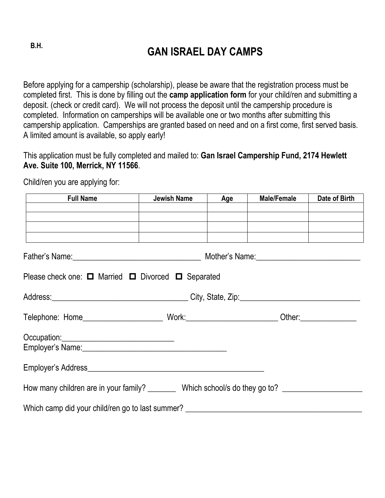## **GAN ISRAEL DAY CAMPS B.H.**

Before applying for a campership (scholarship), please be aware that the registration process must be completed first. This is done by filling out the **camp application form** for your child/ren and submitting a deposit. (check or credit card). We will not process the deposit until the campership procedure is completed. Information on camperships will be available one or two months after submitting this campership application. Camperships are granted based on need and on a first come, first served basis. A limited amount is available, so apply early!

This application must be fully completed and mailed to: **Gan Israel Campership Fund, 2174 Hewlett Ave. Suite 100, Merrick, NY 11566**.

Child/ren you are applying for:

| Full Name Sales Service Service Service Service Service Service Service Service Service Service Service Service | <b>Age</b> | Male/Female | Date of Birth |
|-----------------------------------------------------------------------------------------------------------------|------------|-------------|---------------|
|                                                                                                                 |            |             |               |
|                                                                                                                 |            |             |               |
|                                                                                                                 |            |             |               |
| Father's Name: Mother's Name: Mother's Name: Mother's Name: Mother's Name:                                      |            |             |               |
| Please check one: $\Box$ Married $\Box$ Divorced $\Box$ Separated                                               |            |             |               |
|                                                                                                                 |            |             |               |
|                                                                                                                 |            |             |               |
|                                                                                                                 |            |             |               |
|                                                                                                                 |            |             |               |
|                                                                                                                 |            |             |               |
| How many children are in your family? _________ Which school/s do they go to? ______________________            |            |             |               |
| Which camp did your child/ren go to last summer? ________________________________                               |            |             |               |